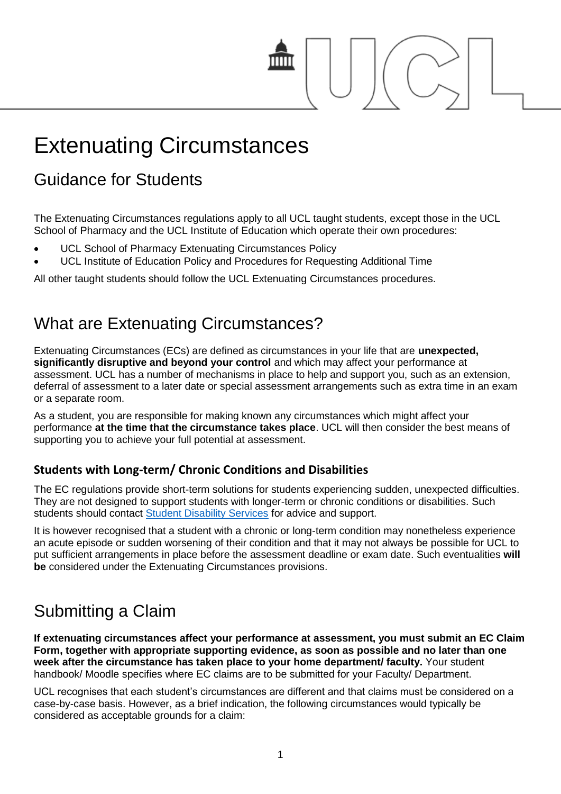# Extenuating Circumstances

## Guidance for Students

The Extenuating Circumstances regulations apply to all UCL taught students, except those in the UCL School of Pharmacy and the UCL Institute of Education which operate their own procedures:

- UCL School of Pharmacy Extenuating Circumstances Policy
- UCL Institute of Education Policy and Procedures for Requesting Additional Time

All other taught students should follow the UCL Extenuating Circumstances procedures.

#### What are Extenuating Circumstances?

Extenuating Circumstances (ECs) are defined as circumstances in your life that are **unexpected, significantly disruptive and beyond your control** and which may affect your performance at assessment. UCL has a number of mechanisms in place to help and support you, such as an extension, deferral of assessment to a later date or special assessment arrangements such as extra time in an exam or a separate room.

As a student, you are responsible for making known any circumstances which might affect your performance **at the time that the circumstance takes place**. UCL will then consider the best means of supporting you to achieve your full potential at assessment.

#### **Students with Long-term/ Chronic Conditions and Disabilities**

The EC regulations provide short-term solutions for students experiencing sudden, unexpected difficulties. They are not designed to support students with longer-term or chronic conditions or disabilities. Such students should contact [Student Disability Services](http://www.ucl.ac.uk/disability) for advice and support.

It is however recognised that a student with a chronic or long-term condition may nonetheless experience an acute episode or sudden worsening of their condition and that it may not always be possible for UCL to put sufficient arrangements in place before the assessment deadline or exam date. Such eventualities **will be** considered under the Extenuating Circumstances provisions.

## Submitting a Claim

**If extenuating circumstances affect your performance at assessment, you must submit an EC Claim Form, together with appropriate supporting evidence, as soon as possible and no later than one week after the circumstance has taken place to your home department/ faculty.** Your student handbook/ Moodle specifies where EC claims are to be submitted for your Faculty/ Department.

UCL recognises that each student's circumstances are different and that claims must be considered on a case-by-case basis. However, as a brief indication, the following circumstances would typically be considered as acceptable grounds for a claim: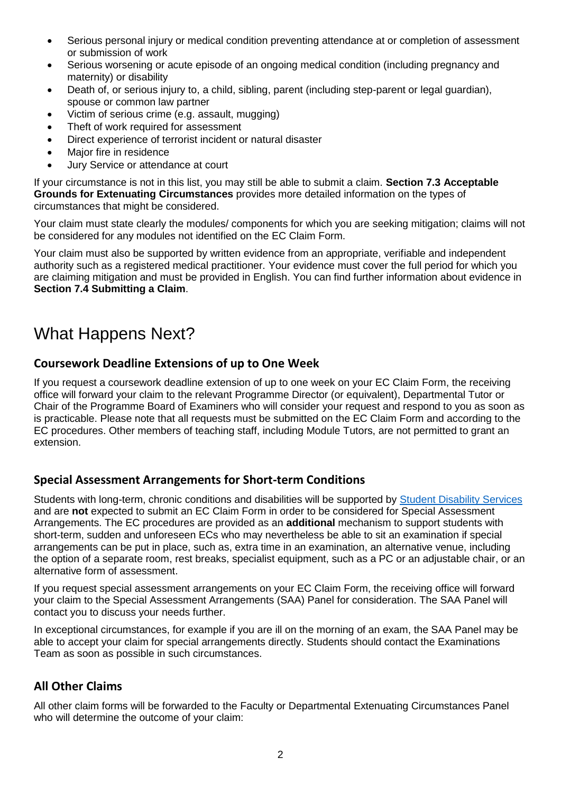- Serious personal injury or medical condition preventing attendance at or completion of assessment or submission of work
- Serious worsening or acute episode of an ongoing medical condition (including pregnancy and maternity) or disability
- Death of, or serious injury to, a child, sibling, parent (including step-parent or legal guardian), spouse or common law partner
- Victim of serious crime (e.g. assault, mugging)
- Theft of work required for assessment
- Direct experience of terrorist incident or natural disaster
- Major fire in residence
- Jury Service or attendance at court

If your circumstance is not in this list, you may still be able to submit a claim. **Section 7.3 Acceptable Grounds for Extenuating Circumstances** provides more detailed information on the types of circumstances that might be considered.

Your claim must state clearly the modules/ components for which you are seeking mitigation; claims will not be considered for any modules not identified on the EC Claim Form.

Your claim must also be supported by written evidence from an appropriate, verifiable and independent authority such as a registered medical practitioner. Your evidence must cover the full period for which you are claiming mitigation and must be provided in English. You can find further information about evidence in **Section 7.4 Submitting a Claim**.

## What Happens Next?

#### **Coursework Deadline Extensions of up to One Week**

If you request a coursework deadline extension of up to one week on your EC Claim Form, the receiving office will forward your claim to the relevant Programme Director (or equivalent), Departmental Tutor or Chair of the Programme Board of Examiners who will consider your request and respond to you as soon as is practicable. Please note that all requests must be submitted on the EC Claim Form and according to the EC procedures. Other members of teaching staff, including Module Tutors, are not permitted to grant an extension.

#### **Special Assessment Arrangements for Short-term Conditions**

Students with long-term, chronic conditions and disabilities will be supported by [Student Disability Services](http://www.ucl.ac.uk/disability) and are **not** expected to submit an EC Claim Form in order to be considered for Special Assessment Arrangements. The EC procedures are provided as an **additional** mechanism to support students with short-term, sudden and unforeseen ECs who may nevertheless be able to sit an examination if special arrangements can be put in place, such as, extra time in an examination, an alternative venue, including the option of a separate room, rest breaks, specialist equipment, such as a PC or an adjustable chair, or an alternative form of assessment.

If you request special assessment arrangements on your EC Claim Form, the receiving office will forward your claim to the Special Assessment Arrangements (SAA) Panel for consideration. The SAA Panel will contact you to discuss your needs further.

In exceptional circumstances, for example if you are ill on the morning of an exam, the SAA Panel may be able to accept your claim for special arrangements directly. Students should contact the Examinations Team as soon as possible in such circumstances.

#### **All Other Claims**

All other claim forms will be forwarded to the Faculty or Departmental Extenuating Circumstances Panel who will determine the outcome of your claim: